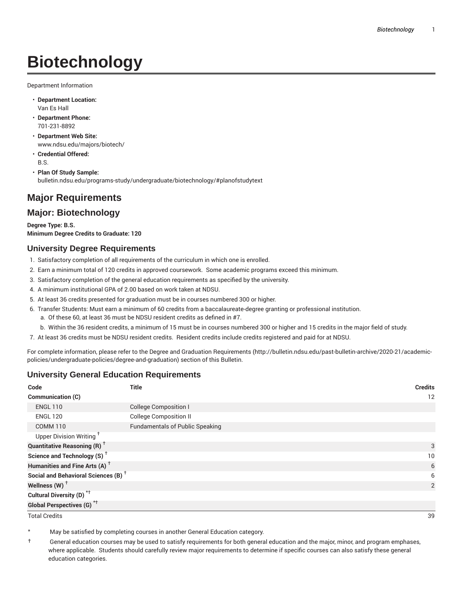# **Biotechnology**

Department Information

- **Department Location:** Van Es Hall
- **Department Phone:** 701-231-8892
- **Department Web Site:** www.ndsu.edu/majors/biotech/
- **Credential Offered:** B.S.
- **Plan Of Study Sample:** bulletin.ndsu.edu/programs-study/undergraduate/biotechnology/#planofstudytext

# **Major Requirements**

# **Major: Biotechnology**

**Degree Type: B.S. Minimum Degree Credits to Graduate: 120**

## **University Degree Requirements**

- 1. Satisfactory completion of all requirements of the curriculum in which one is enrolled.
- 2. Earn a minimum total of 120 credits in approved coursework. Some academic programs exceed this minimum.
- 3. Satisfactory completion of the general education requirements as specified by the university.
- 4. A minimum institutional GPA of 2.00 based on work taken at NDSU.
- 5. At least 36 credits presented for graduation must be in courses numbered 300 or higher.
- 6. Transfer Students: Must earn a minimum of 60 credits from a baccalaureate-degree granting or professional institution.
	- a. Of these 60, at least 36 must be NDSU resident credits as defined in #7.
	- b. Within the 36 resident credits, a minimum of 15 must be in courses numbered 300 or higher and 15 credits in the major field of study.
- 7. At least 36 credits must be NDSU resident credits. Resident credits include credits registered and paid for at NDSU.

For complete information, please refer to the Degree and Graduation Requirements (http://bulletin.ndsu.edu/past-bulletin-archive/2020-21/academicpolicies/undergraduate-policies/degree-and-graduation) section of this Bulletin.

## **University General Education Requirements**

| Code                                            | <b>Title</b>                           | <b>Credits</b> |
|-------------------------------------------------|----------------------------------------|----------------|
| Communication (C)                               |                                        | 12             |
| <b>ENGL 110</b>                                 | <b>College Composition I</b>           |                |
| <b>ENGL 120</b>                                 | <b>College Composition II</b>          |                |
| <b>COMM 110</b>                                 | <b>Fundamentals of Public Speaking</b> |                |
| Upper Division Writing <sup>+</sup>             |                                        |                |
| <b>Quantitative Reasoning (R)</b> <sup>†</sup>  |                                        | 3              |
| Science and Technology (S) <sup>+</sup>         |                                        | 10             |
| Humanities and Fine Arts (A) <sup>+</sup>       |                                        | 6              |
| Social and Behavioral Sciences (B) <sup>+</sup> |                                        | 6              |
| Wellness $(W)$ <sup>+</sup>                     |                                        | 2              |
| Cultural Diversity (D) <sup>*†</sup>            |                                        |                |
| <b>Global Perspectives (G)<sup>*†</sup></b>     |                                        |                |

Total Credits 39

May be satisfied by completing courses in another General Education category.

† General education courses may be used to satisfy requirements for both general education and the major, minor, and program emphases, where applicable. Students should carefully review major requirements to determine if specific courses can also satisfy these general education categories.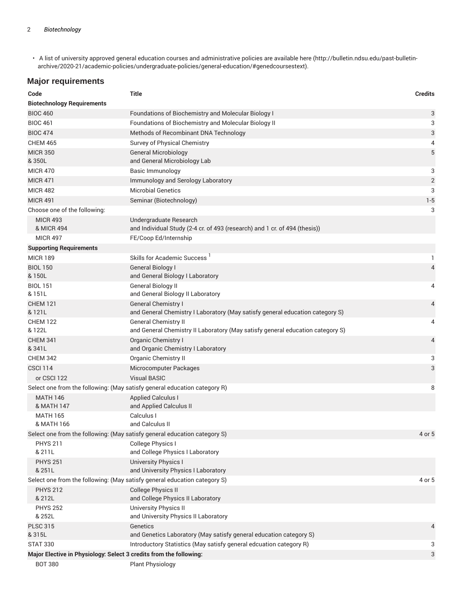• A list of university approved general education courses and administrative policies are available here (http://bulletin.ndsu.edu/past-bulletinarchive/2020-21/academic-policies/undergraduate-policies/general-education/#genedcoursestext).

# **Major requirements**

| Code                                                                                 | <b>Title</b>                                                                                         | <b>Credits</b> |
|--------------------------------------------------------------------------------------|------------------------------------------------------------------------------------------------------|----------------|
| <b>Biotechnology Requirements</b>                                                    |                                                                                                      |                |
| <b>BIOC 460</b>                                                                      | Foundations of Biochemistry and Molecular Biology I                                                  | 3              |
| <b>BIOC 461</b>                                                                      | Foundations of Biochemistry and Molecular Biology II                                                 | 3              |
| <b>BIOC 474</b>                                                                      | Methods of Recombinant DNA Technology                                                                | 3              |
| <b>CHEM 465</b>                                                                      | Survey of Physical Chemistry                                                                         | 4              |
| <b>MICR 350</b><br>& 350L                                                            | <b>General Microbiology</b><br>and General Microbiology Lab                                          | 5              |
| <b>MICR 470</b>                                                                      | Basic Immunology                                                                                     | 3              |
| <b>MICR 471</b>                                                                      | Immunology and Serology Laboratory                                                                   | $\overline{2}$ |
| <b>MICR 482</b>                                                                      | <b>Microbial Genetics</b>                                                                            | 3              |
| <b>MICR 491</b>                                                                      | Seminar (Biotechnology)                                                                              | $1 - 5$        |
| Choose one of the following:                                                         |                                                                                                      | 3              |
| <b>MICR 493</b><br>& MICR 494                                                        | Undergraduate Research<br>and Individual Study (2-4 cr. of 493 (research) and 1 cr. of 494 (thesis)) |                |
| <b>MICR 497</b>                                                                      | FE/Coop Ed/Internship                                                                                |                |
| <b>Supporting Requirements</b>                                                       |                                                                                                      |                |
| <b>MICR 189</b>                                                                      | Skills for Academic Success                                                                          | 1              |
| <b>BIOL 150</b><br>& 150L                                                            | General Biology I<br>and General Biology I Laboratory                                                | $\overline{4}$ |
| <b>BIOL 151</b>                                                                      | General Biology II                                                                                   | 4              |
| & 151L                                                                               | and General Biology II Laboratory                                                                    |                |
| <b>CHEM 121</b>                                                                      | <b>General Chemistry I</b>                                                                           | $\overline{4}$ |
| & 121L                                                                               | and General Chemistry I Laboratory (May satisfy general education category S)                        |                |
| <b>CHEM 122</b>                                                                      | <b>General Chemistry II</b>                                                                          | 4              |
| & 122L                                                                               | and General Chemistry II Laboratory (May satisfy general education category S)                       |                |
| <b>CHEM 341</b><br>& 341L                                                            | <b>Organic Chemistry I</b><br>and Organic Chemistry I Laboratory                                     | 4              |
| <b>CHEM 342</b>                                                                      | <b>Organic Chemistry II</b>                                                                          | 3              |
| <b>CSCI 114</b>                                                                      | Microcomputer Packages                                                                               | 3              |
| or CSCI 122                                                                          | <b>Visual BASIC</b>                                                                                  |                |
|                                                                                      | Select one from the following: (May satisfy general education category R)                            | 8              |
| <b>MATH 146</b><br>& MATH 147                                                        | <b>Applied Calculus I</b><br>and Applied Calculus II                                                 |                |
| <b>MATH 165</b><br>& MATH 166                                                        | Calculus I<br>and Calculus II                                                                        |                |
|                                                                                      | Select one from the following: (May satisfy general education category S)                            | 4 or 5         |
| <b>PHYS 211</b>                                                                      | College Physics I                                                                                    |                |
| & 211L                                                                               | and College Physics I Laboratory                                                                     |                |
| <b>PHYS 251</b><br>& 251L                                                            | <b>University Physics I</b><br>and University Physics I Laboratory                                   |                |
|                                                                                      | Select one from the following: (May satisfy general education category S)                            | 4 or 5         |
| <b>PHYS 212</b>                                                                      | <b>College Physics II</b>                                                                            |                |
| & 212L                                                                               | and College Physics II Laboratory                                                                    |                |
| <b>PHYS 252</b>                                                                      | <b>University Physics II</b>                                                                         |                |
| & 252L                                                                               | and University Physics II Laboratory                                                                 |                |
| <b>PLSC 315</b>                                                                      | Genetics                                                                                             | $\overline{4}$ |
| & 315L                                                                               | and Genetics Laboratory (May satisfy general education category S)                                   |                |
| <b>STAT 330</b>                                                                      | Introductory Statistics (May satisfy general edcuation category R)                                   | 3              |
| Major Elective in Physiology: Select 3 credits from the following:<br><b>BOT 380</b> | <b>Plant Physiology</b>                                                                              | 3              |
|                                                                                      |                                                                                                      |                |